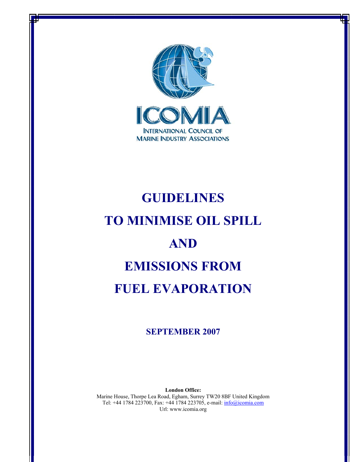

# **GUIDELINES TO MINIMISE OIL SPILL AND EMISSIONS FROM FUEL EVAPORATION**

# **SEPTEMBER 2007**

**London Office:**  Marine House, Thorpe Lea Road, Egham, Surrey TW20 8BF United Kingdom Tel: +44 1784 223700, Fax: +44 1784 223705, e-mail: info@icomia.com Url: www.icomia.org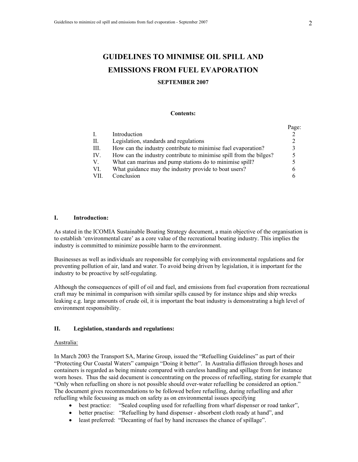# **GUIDELINES TO MINIMISE OIL SPILL AND EMISSIONS FROM FUEL EVAPORATION**

### **SEPTEMBER 2007**

#### **Contents:**

|     |                                                                    | Page:        |
|-----|--------------------------------------------------------------------|--------------|
|     | Introduction                                                       |              |
| П.  | Legislation, standards and regulations                             |              |
| Ш.  | How can the industry contribute to minimise fuel evaporation?      | $\mathbf{R}$ |
| IV. | How can the industry contribute to minimise spill from the bilges? |              |
| V.  | What can marinas and pump stations do to minimise spill?           |              |
| VI. | What guidance may the industry provide to boat users?              | b            |
| VH  | Conclusion                                                         |              |

#### **I. Introduction:**

As stated in the ICOMIA Sustainable Boating Strategy document, a main objective of the organisation is to establish 'environmental care' as a core value of the recreational boating industry. This implies the industry is committed to minimize possible harm to the environment.

Businesses as well as individuals are responsible for complying with environmental regulations and for preventing pollution of air, land and water. To avoid being driven by legislation, it is important for the industry to be proactive by self-regulating.

Although the consequences of spill of oil and fuel, and emissions from fuel evaporation from recreational craft may be minimal in comparison with similar spills caused by for instance ships and ship wrecks leaking e.g. large amounts of crude oil, it is important the boat industry is demonstrating a high level of environment responsibility.

## **II. Legislation, standards and regulations:**

#### Australia:

In March 2003 the Transport SA, Marine Group, issued the "Refuelling Guidelines" as part of their "Protecting Our Coastal Waters" campaign "Doing it better". In Australia diffusion through hoses and containers is regarded as being minute compared with careless handling and spillage from for instance worn hoses. Thus the said document is concentrating on the process of refuelling, stating for example that "Only when refuelling on shore is not possible should over-water refuelling be considered an option." The document gives recommendations to be followed before refuelling, during refuelling and after refuelling while focussing as much on safety as on environmental issues specifying

- best practice: "Sealed coupling used for refuelling from wharf dispenser or road tanker",
- better practise: "Refuelling by hand dispenser absorbent cloth ready at hand", and
- least preferred: "Decanting of fuel by hand increases the chance of spillage".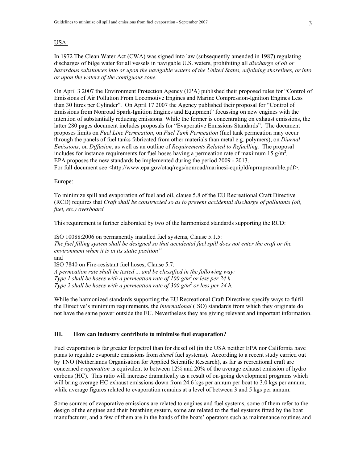# USA:

In 1972 The Clean Water Act (CWA) was signed into law (subsequently amended in 1987) regulating discharges of bilge water for all vessels in navigable U.S. waters, prohibiting all *discharge of oil or hazardous substances into or upon the navigable waters of the United States, adjoining shorelines, or into or upon the waters of the contiguous zone.* 

On April 3 2007 the Environment Protection Agency (EPA) published their proposed rules for "Control of Emissions of Air Pollution From Locomotive Engines and Marine Compression-Ignition Engines Less than 30 litres per Cylinder". On April 17 2007 the Agency published their proposal for "Control of Emissions from Nonroad Spark-Ignition Engines and Equipment" focussing on new engines with the intention of substantially reducing emissions. While the former is concentrating on exhaust emissions, the latter 280 pages document includes proposals for "Evaporative Emissions Standards". The document proposes limits on *Fuel Line Permeation*, on *Fuel Tank Permeation* (fuel tank permeation may occur through the panels of fuel tanks fabricated from other materials than metal e.g. polymers), on *Diurnal Emissions*, on *Diffusion*, as well as an outline of *Requirements Related to Refuelling.* The proposal includes for instance requirements for fuel hoses having a permeation rate of maximum 15  $g/m<sup>2</sup>$ . EPA proposes the new standards be implemented during the period 2009 - 2013. For full document see <http://www.epa.gov/otaq/regs/nonroad/marinesi-equipld/nprmpreamble.pdf>.

#### Europe:

To minimize spill and evaporation of fuel and oil, clause 5.8 of the EU Recreational Craft Directive (RCD) requires that *Craft shall be constructed so as to prevent accidental discharge of pollutants (oil, fuel, etc.) overboard.* 

This requirement is further elaborated by two of the harmonized standards supporting the RCD:

ISO 10088:2006 on permanently installed fuel systems, Clause 5.1.5: *The fuel filling system shall be designed so that accidental fuel spill does not enter the craft or the environment when it is in its static position"*  and ISO 7840 on Fire-resistant fuel hoses, Clause 5.7: *A permeation rate shall be tested ... and be classified in the following way: Type 1 shall be hoses with a permeation rate of 100 g/m<sup>2</sup> or less per 24 h. Type 2 shall be hoses with a permeation rate of 300*  $\frac{g}{m^2}$  *or less per 24 h.* 

While the harmonized standards supporting the EU Recreational Craft Directives specify ways to fulfil the Directive's minimum requirements, the *international* (ISO) standards from which they originate do not have the same power outside the EU. Nevertheless they are giving relevant and important information.

## **III. How can industry contribute to minimise fuel evaporation?**

Fuel evaporation is far greater for petrol than for diesel oil (in the USA neither EPA nor California have plans to regulate evaporate emissions from *diesel* fuel systems). According to a recent study carried out by TNO (Netherlands Organisation for Applied Scientific Research), as far as recreational craft are concerned *evaporation* is equivalent to between 12% and 20% of the average exhaust emission of hydro carbons (HC). This ratio will increase dramatically as a result of on-going development programs which will bring average HC exhaust emissions down from 24.6 kgs per annum per boat to 3.0 kgs per annum, while average figures related to evaporation remains at a level of between 3 and 5 kgs per annum.

Some sources of evaporative emissions are related to engines and fuel systems, some of them refer to the design of the engines and their breathing system, some are related to the fuel systems fitted by the boat manufacturer, and a few of them are in the hands of the boats' operators such as maintenance routines and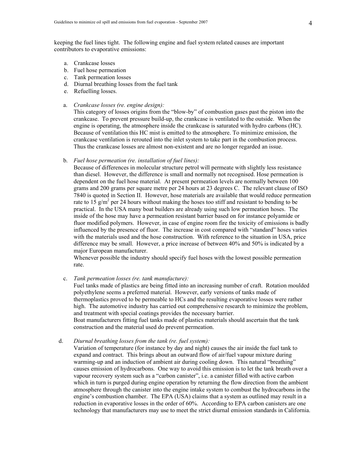keeping the fuel lines tight. The following engine and fuel system related causes are important contributors to evaporative emissions:

- a. Crankcase losses
- b. Fuel hose permeation
- c. Tank permeation losses
- d. Diurnal breathing losses from the fuel tank
- e. Refuelling losses.
- a. *Crankcase losses (re. engine design):*

 This category of losses origins from the "blow-by" of combustion gases past the piston into the crankcase. To prevent pressure build-up, the crankcase is ventilated to the outside. When the engine is operating, the atmosphere inside the crankcase is saturated with hydro carbons (HC). Because of ventilation this HC mist is emitted to the atmosphere. To minimize emission, the crankcase ventilation is rerouted into the inlet system to take part in the combustion process. Thus the crankcase losses are almost non-existent and are no longer regarded an issue.

b. *Fuel hose permeation (re. installation of fuel lines):*

 Because of differences in molecular structure petrol will permeate with slightly less resistance than diesel. However, the difference is small and normally not recognised. Hose permeation is dependent on the fuel hose material. At present permeation levels are normally between 100 grams and 200 grams per square metre per 24 hours at 23 degrees C. The relevant clause of ISO 7840 is quoted in Section II. However, hose materials are available that would reduce permeation rate to 15  $g/m^2$  per 24 hours without making the hoses too stiff and resistant to bending to be practical. In the USA many boat builders are already using such low permeation hoses. The inside of the hose may have a permeation resistant barrier based on for instance polyamide or fluor modified polymers. However, in case of engine room fire the toxicity of emissions is badly influenced by the presence of fluor. The increase in cost compared with "standard" hoses varies with the materials used and the hose construction. With reference to the situation in USA, price difference may be small. However, a price increase of between 40% and 50% is indicated by a major European manufacturer.

 Whenever possible the industry should specify fuel hoses with the lowest possible permeation rate.

c. *Tank permeation losses (re. tank manufacture):*

 Fuel tanks made of plastics are being fitted into an increasing number of craft. Rotation moulded polyethylene seems a preferred material. However, early versions of tanks made of thermoplastics proved to be permeable to HCs and the resulting evaporative losses were rather high. The automotive industry has carried out comprehensive research to minimize the problem, and treatment with special coatings provides the necessary barrier.

 Boat manufacturers fitting fuel tanks made of plastics materials should ascertain that the tank construction and the material used do prevent permeation.

d. *Diurnal breathing losses from the tank (re. fuel system):*

 Variation of temperature (for instance by day and night) causes the air inside the fuel tank to expand and contract. This brings about an outward flow of air/fuel vapour mixture during warming-up and an induction of ambient air during cooling down. This natural "breathing" causes emission of hydrocarbons. One way to avoid this emission is to let the tank breath over a vapour recovery system such as a "carbon canister", i.e. a canister filled with active carbon which in turn is purged during engine operation by returning the flow direction from the ambient atmosphere through the canister into the engine intake system to combust the hydrocarbons in the engine's combustion chamber. The EPA (USA) claims that a system as outlined may result in a reduction in evaporative losses in the order of 60%. According to EPA carbon canisters are one technology that manufacturers may use to meet the strict diurnal emission standards in California.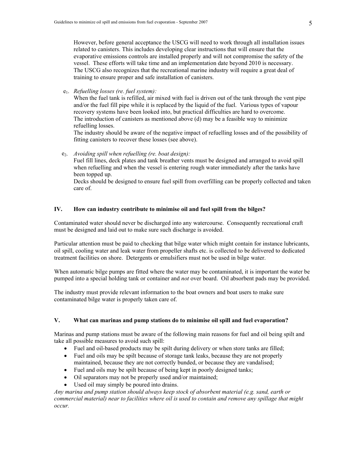However, before general acceptance the USCG will need to work through all installation issues related to canisters. This includes developing clear instructions that will ensure that the evaporative emissions controls are installed properly and will not compromise the safety of the vessel. These efforts will take time and an implementation date beyond 2010 is necessary. The USCG also recognizes that the recreational marine industry will require a great deal of training to ensure proper and safe installation of canisters.

e1. *Refuelling losses (re. fuel system):*

 When the fuel tank is refilled, air mixed with fuel is driven out of the tank through the vent pipe and/or the fuel fill pipe while it is replaced by the liquid of the fuel. Various types of vapour recovery systems have been looked into, but practical difficulties are hard to overcome. The introduction of canisters as mentioned above (d) may be a feasible way to minimize refuelling losses.

 The industry should be aware of the negative impact of refuelling losses and of the possibility of fitting canisters to recover these losses (see above).

e2. *Avoiding spill when refuelling (re. boat design):* 

Fuel fill lines, deck plates and tank breather vents must be designed and arranged to avoid spill when refuelling and when the vessel is entering rough water immediately after the tanks have been topped up.

Decks should be designed to ensure fuel spill from overfilling can be properly collected and taken care of.

# **IV. How can industry contribute to minimise oil and fuel spill from the bilges?**

Contaminated water should never be discharged into any watercourse. Consequently recreational craft must be designed and laid out to make sure such discharge is avoided.

Particular attention must be paid to checking that bilge water which might contain for instance lubricants, oil spill, cooling water and leak water from propeller shafts etc. is collected to be delivered to dedicated treatment facilities on shore. Detergents or emulsifiers must not be used in bilge water.

When automatic bilge pumps are fitted where the water may be contaminated, it is important the water be pumped into a special holding tank or container and *not* over board. Oil absorbent pads may be provided.

The industry must provide relevant information to the boat owners and boat users to make sure contaminated bilge water is properly taken care of.

# **V. What can marinas and pump stations do to minimise oil spill and fuel evaporation?**

Marinas and pump stations must be aware of the following main reasons for fuel and oil being spilt and take all possible measures to avoid such spill:

- Fuel and oil-based products may be spilt during delivery or when store tanks are filled;
- Fuel and oils may be spilt because of storage tank leaks, because they are not properly maintained, because they are not correctly bunded, or because they are vandalised;
- Fuel and oils may be spilt because of being kept in poorly designed tanks;
- Oil separators may not be properly used and/or maintained;
- Used oil may simply be poured into drains.

*Any marina and pump station should always keep stock of absorbent material (e.g. sand, earth or commercial material) near to facilities where oil is used to contain and remove any spillage that might occur.*